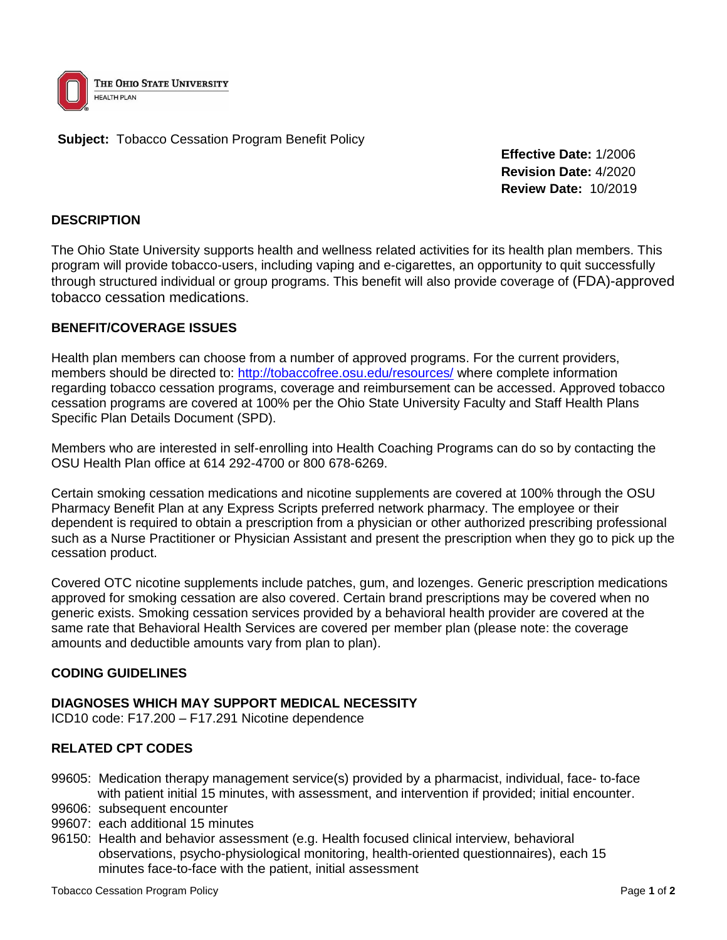

**Subject:** Tobacco Cessation Program Benefit Policy

**Effective Date:** 1/2006 **Revision Date:** 4/2020 **Review Date:** 10/2019

# **DESCRIPTION**

The Ohio State University supports health and wellness related activities for its health plan members. This program will provide tobacco-users, including vaping and e-cigarettes, an opportunity to quit successfully through structured individual or group programs. This benefit will also provide coverage of (FDA)-approved tobacco cessation medications.

# **BENEFIT/COVERAGE ISSUES**

Health plan members can choose from a number of approved programs. For the current providers, members should be directed to:<http://tobaccofree.osu.edu/resources/> where complete information regarding tobacco cessation programs, coverage and reimbursement can be accessed. Approved tobacco cessation programs are covered at 100% per the Ohio State University Faculty and Staff Health Plans Specific Plan Details Document (SPD).

Members who are interested in self-enrolling into Health Coaching Programs can do so by contacting the OSU Health Plan office at 614 292-4700 or 800 678-6269.

Certain smoking cessation medications and nicotine supplements are covered at 100% through the OSU Pharmacy Benefit Plan at any Express Scripts preferred network pharmacy. The employee or their dependent is required to obtain a prescription from a physician or other authorized prescribing professional such as a Nurse Practitioner or Physician Assistant and present the prescription when they go to pick up the cessation product.

Covered OTC nicotine supplements include patches, gum, and lozenges. Generic prescription medications approved for smoking cessation are also covered. Certain brand prescriptions may be covered when no generic exists. Smoking cessation services provided by a behavioral health provider are covered at the same rate that Behavioral Health Services are covered per member plan (please note: the coverage amounts and deductible amounts vary from plan to plan).

### **CODING GUIDELINES**

### **DIAGNOSES WHICH MAY SUPPORT MEDICAL NECESSITY**

ICD10 code: F17.200 – F17.291 Nicotine dependence

### **RELATED CPT CODES**

- 99605: Medication therapy management service(s) provided by a pharmacist, individual, face- to-face with patient initial 15 minutes, with assessment, and intervention if provided; initial encounter.
- 99606: subsequent encounter
- 99607: each additional 15 minutes
- 96150: Health and behavior assessment (e.g. Health focused clinical interview, behavioral observations, psycho-physiological monitoring, health-oriented questionnaires), each 15 minutes face-to-face with the patient, initial assessment